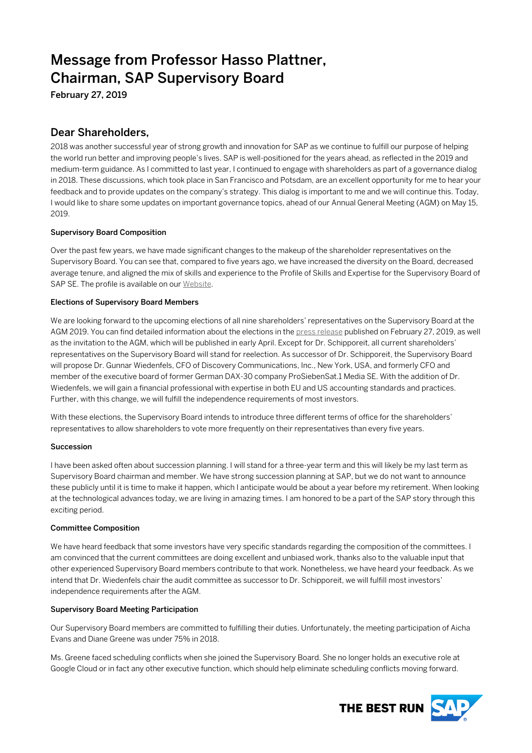# Message from Professor Hasso Plattner, Chairman, SAP Supervisory Board

February 27, 2019

# Dear Shareholders,

2018 was another successful year of strong growth and innovation for SAP as we continue to fulfill our purpose of helping the world run better and improving people's lives. SAP is well-positioned for the years ahead, as reflected in the 2019 and medium-term guidance. As I committed to last year, I continued to engage with shareholders as part of a governance dialog in 2018. These discussions, which took place in San Francisco and Potsdam, are an excellent opportunity for me to hear your feedback and to provide updates on the company's strategy. This dialog is important to me and we will continue this. Today, I would like to share some updates on important governance topics, ahead of our Annual General Meeting (AGM) on May 15, 2019.

## Supervisory Board Composition

Over the past few years, we have made significant changes to the makeup of the shareholder representatives on the Supervisory Board. You can see that, compared to five years ago, we have increased the diversity on the Board, decreased average tenure, and aligned the mix of skills and experience to the Profile of Skills and Expertise for the Supervisory Board of SAP SE. The profile is available on our [Website.](http://www.sap.com/corporate-en/investors/governance) 

### Elections of Supervisory Board Members

We are looking forward to the upcoming elections of all nine shareholders' representatives on the Supervisory Board at the AGM 2019. You can find detailed information about the elections in th[e press release](https://news.sap.com/2019/02/sap-supervisory-board-announces-candidates-for-elections-of-shareholders-representatives/) published on February 27, 2019, as well as the invitation to the AGM, which will be published in early April. Except for Dr. Schipporeit, all current shareholders' representatives on the Supervisory Board will stand for reelection. As successor of Dr. Schipporeit, the Supervisory Board will propose Dr. Gunnar Wiedenfels, CFO of Discovery Communications, Inc., New York, USA, and formerly CFO and member of the executive board of former German DAX-30 company ProSiebenSat.1 Media SE. With the addition of Dr. Wiedenfels, we will gain a financial professional with expertise in both EU and US accounting standards and practices. Further, with this change, we will fulfill the independence requirements of most investors.

With these elections, the Supervisory Board intends to introduce three different terms of office for the shareholders' representatives to allow shareholders to vote more frequently on their representatives than every five years.

#### Succession

I have been asked often about succession planning. I will stand for a three-year term and this will likely be my last term as Supervisory Board chairman and member. We have strong succession planning at SAP, but we do not want to announce these publicly until it is time to make it happen, which I anticipate would be about a year before my retirement. When looking at the technological advances today, we are living in amazing times. I am honored to be a part of the SAP story through this exciting period.

#### Committee Composition

We have heard feedback that some investors have very specific standards regarding the composition of the committees. I am convinced that the current committees are doing excellent and unbiased work, thanks also to the valuable input that other experienced Supervisory Board members contribute to that work. Nonetheless, we have heard your feedback. As we intend that Dr. Wiedenfels chair the audit committee as successor to Dr. Schipporeit, we will fulfill most investors' independence requirements after the AGM.

#### Supervisory Board Meeting Participation

Our Supervisory Board members are committed to fulfilling their duties. Unfortunately, the meeting participation of Aicha Evans and Diane Greene was under 75% in 2018.

Ms. Greene faced scheduling conflicts when she joined the Supervisory Board. She no longer holds an executive role at Google Cloud or in fact any other executive function, which should help eliminate scheduling conflicts moving forward.